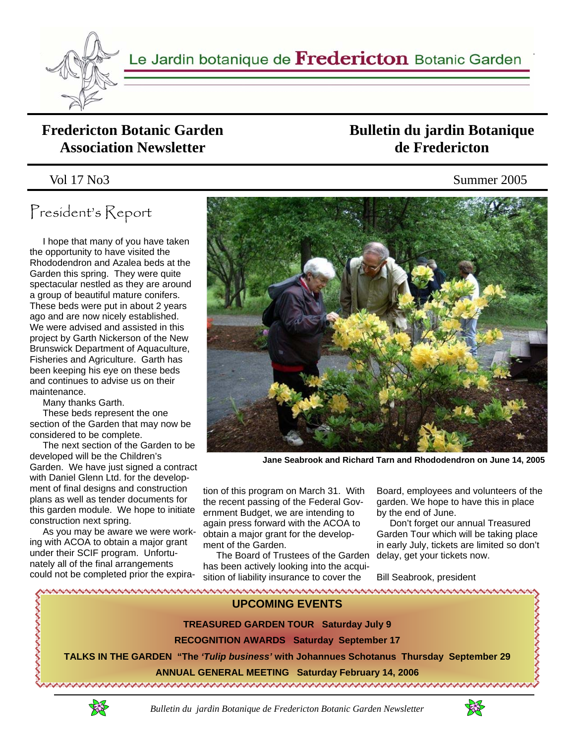

#### **Fredericton Botanic Garden Association Newsletter**

# President's Report

 I hope that many of you have taken the opportunity to have visited the Rhododendron and Azalea beds at the Garden this spring. They were quite spectacular nestled as they are around a group of beautiful mature conifers. These beds were put in about 2 years ago and are now nicely established. We were advised and assisted in this project by Garth Nickerson of the New Brunswick Department of Aquaculture, Fisheries and Agriculture. Garth has been keeping his eye on these beds and continues to advise us on their maintenance.

Many thanks Garth.

 These beds represent the one section of the Garden that may now be considered to be complete.

 The next section of the Garden to be developed will be the Children's Garden. We have just signed a contract with Daniel Glenn Ltd. for the development of final designs and construction plans as well as tender documents for this garden module. We hope to initiate construction next spring.

 As you may be aware we were working with ACOA to obtain a major grant under their SCIF program. Unfortunately all of the final arrangements could not be completed prior the expira-

### **Bulletin du jardin Botanique de Fredericton**

Vol 17 No3 Summer 2005



**Jane Seabrook and Richard Tarn and Rhododendron on June 14, 2005** 

tion of this program on March 31. With the recent passing of the Federal Government Budget, we are intending to again press forward with the ACOA to obtain a major grant for the development of the Garden.

 The Board of Trustees of the Garden has been actively looking into the acquisition of liability insurance to cover the

Board, employees and volunteers of the garden. We hope to have this in place by the end of June.

 Don't forget our annual Treasured Garden Tour which will be taking place in early July, tickets are limited so don't delay, get your tickets now.

Bill Seabrook, president





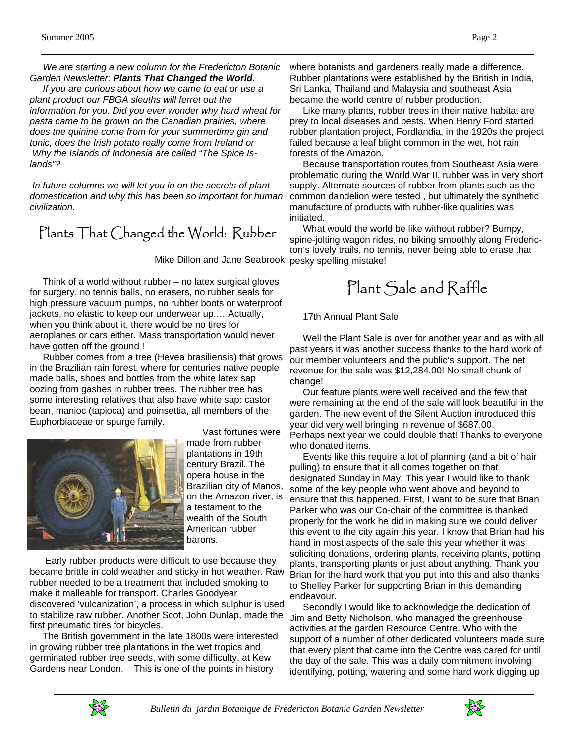*We are starting a new column for the Fredericton Botanic Garden Newsletter: Plants That Changed the World.* 

 *If you are curious about how we came to eat or use a plant product our FBGA sleuths will ferret out the information for you. Did you ever wonder why hard wheat for pasta came to be grown on the Canadian prairies, where does the quinine come from for your summertime gin and tonic, does the Irish potato really come from Ireland or Why the Islands of Indonesia are called "The Spice Islands"?* 

 *In future columns we will let you in on the secrets of plant domestication and why this has been so important for human civilization.* 

### Plants That Changed the World: Rubber

Mike Dillon and Jane Seabrook pesky spelling mistake!

 Think of a world without rubber – no latex surgical gloves for surgery, no tennis balls, no erasers, no rubber seals for high pressure vacuum pumps, no rubber boots or waterproof jackets, no elastic to keep our underwear up.… Actually, when you think about it, there would be no tires for aeroplanes or cars either. Mass transportation would never have gotten off the ground !

 Rubber comes from a tree (Hevea brasiliensis) that grows in the Brazilian rain forest, where for centuries native people made balls, shoes and bottles from the white latex sap oozing from gashes in rubber trees. The rubber tree has some interesting relatives that also have white sap: castor bean, manioc (tapioca) and poinsettia, all members of the Euphorbiaceae or spurge family.



 Vast fortunes were made from rubber

plantations in 19th century Brazil. The opera house in the Brazilian city of Manos, on the Amazon river, is a testament to the wealth of the South American rubber barons.

 Early rubber products were difficult to use because they became brittle in cold weather and sticky in hot weather. Raw rubber needed to be a treatment that included smoking to make it malleable for transport. Charles Goodyear discovered 'vulcanization', a process in which sulphur is used to stabilize raw rubber. Another Scot, John Dunlap, made the first pneumatic tires for bicycles.

 The British government in the late 1800s were interested in growing rubber tree plantations in the wet tropics and germinated rubber tree seeds, with some difficulty, at Kew Gardens near London. This is one of the points in history

where botanists and gardeners really made a difference. Rubber plantations were established by the British in India, Sri Lanka, Thailand and Malaysia and southeast Asia became the world centre of rubber production.

 Like many plants, rubber trees in their native habitat are prey to local diseases and pests. When Henry Ford started rubber plantation project, Fordlandia, in the 1920s the project failed because a leaf blight common in the wet, hot rain forests of the Amazon.

 Because transportation routes from Southeast Asia were problematic during the World War II, rubber was in very short supply. Alternate sources of rubber from plants such as the common dandelion were tested , but ultimately the synthetic manufacture of products with rubber-like qualities was initiated.

 What would the world be like without rubber? Bumpy, spine-jolting wagon rides, no biking smoothly along Fredericton's lovely trails, no tennis, never being able to erase that

# Plant Sale and Raffle

17th Annual Plant Sale

 Well the Plant Sale is over for another year and as with all past years it was another success thanks to the hard work of our member volunteers and the public's support. The net revenue for the sale was \$12,284.00! No small chunk of change!

 Our feature plants were well received and the few that were remaining at the end of the sale will look beautiful in the garden. The new event of the Silent Auction introduced this year did very well bringing in revenue of \$687.00. Perhaps next year we could double that! Thanks to everyone who donated items.

 Events like this require a lot of planning (and a bit of hair pulling) to ensure that it all comes together on that designated Sunday in May. This year I would like to thank some of the key people who went above and beyond to ensure that this happened. First, I want to be sure that Brian Parker who was our Co-chair of the committee is thanked properly for the work he did in making sure we could deliver this event to the city again this year. I know that Brian had his hand in most aspects of the sale this year whether it was soliciting donations, ordering plants, receiving plants, potting plants, transporting plants or just about anything. Thank you Brian for the hard work that you put into this and also thanks to Shelley Parker for supporting Brian in this demanding endeavour.

 Secondly I would like to acknowledge the dedication of Jim and Betty Nicholson, who managed the greenhouse activities at the garden Resource Centre. Who with the support of a number of other dedicated volunteers made sure that every plant that came into the Centre was cared for until the day of the sale. This was a daily commitment involving identifying, potting, watering and some hard work digging up



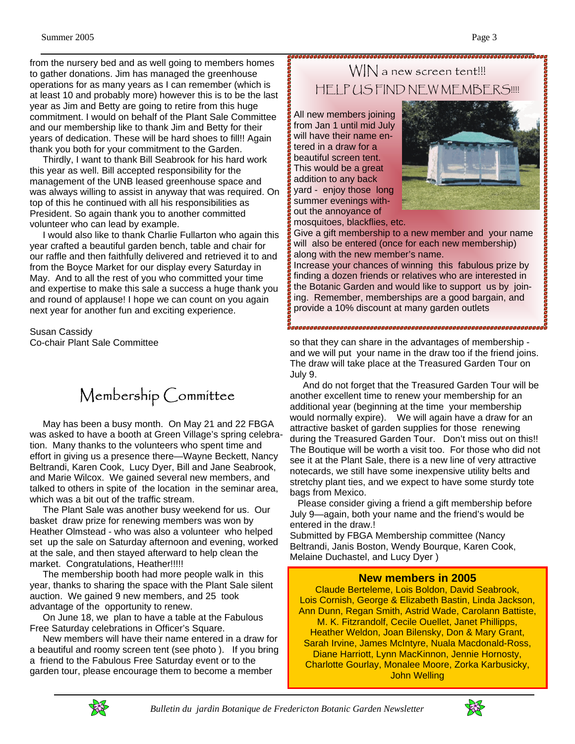from the nursery bed and as well going to members homes to gather donations. Jim has managed the greenhouse operations for as many years as I can remember (which is at least 10 and probably more) however this is to be the last year as Jim and Betty are going to retire from this huge commitment. I would on behalf of the Plant Sale Committee and our membership like to thank Jim and Betty for their years of dedication. These will be hard shoes to fill!! Again thank you both for your commitment to the Garden.

 Thirdly, I want to thank Bill Seabrook for his hard work this year as well. Bill accepted responsibility for the management of the UNB leased greenhouse space and was always willing to assist in anyway that was required. On top of this he continued with all his responsibilities as President. So again thank you to another committed volunteer who can lead by example.

 I would also like to thank Charlie Fullarton who again this year crafted a beautiful garden bench, table and chair for our raffle and then faithfully delivered and retrieved it to and from the Boyce Market for our display every Saturday in May. And to all the rest of you who committed your time and expertise to make this sale a success a huge thank you and round of applause! I hope we can count on you again next year for another fun and exciting experience.

Susan Cassidy Co-chair Plant Sale Committee

## Membership Committee

 May has been a busy month. On May 21 and 22 FBGA was asked to have a booth at Green Village's spring celebration. Many thanks to the volunteers who spent time and effort in giving us a presence there—Wayne Beckett, Nancy Beltrandi, Karen Cook, Lucy Dyer, Bill and Jane Seabrook, and Marie Wilcox. We gained several new members, and talked to others in spite of the location in the seminar area, which was a bit out of the traffic stream.

 The Plant Sale was another busy weekend for us. Our basket draw prize for renewing members was won by Heather Olmstead - who was also a volunteer who helped set up the sale on Saturday afternoon and evening, worked at the sale, and then stayed afterward to help clean the market. Congratulations, Heather!!!!!

 The membership booth had more people walk in this year, thanks to sharing the space with the Plant Sale silent auction. We gained 9 new members, and 25 took advantage of the opportunity to renew.

 On June 18, we plan to have a table at the Fabulous Free Saturday celebrations in Officer's Square.

 New members will have their name entered in a draw for a beautiful and roomy screen tent (see photo ). If you bring a friend to the Fabulous Free Saturday event or to the garden tour, please encourage them to become a member

## WIN a new screen tent!!! HELP US FIND NEW MEMBERS!!!!

All new members joining from Jan 1 until mid July will have their name entered in a draw for a beautiful screen tent. This would be a great addition to any back yard - enjoy those long summer evenings without the annoyance of mosquitoes, blackflies, etc.



Give a gift membership to a new member and your name will also be entered (once for each new membership) along with the new member's name.

Increase your chances of winning this fabulous prize by finding a dozen friends or relatives who are interested in the Botanic Garden and would like to support us by joining. Remember, memberships are a good bargain, and provide a 10% discount at many garden outlets

so that they can share in the advantages of membership and we will put your name in the draw too if the friend joins. The draw will take place at the Treasured Garden Tour on July 9.

 And do not forget that the Treasured Garden Tour will be another excellent time to renew your membership for an additional year (beginning at the time your membership would normally expire). We will again have a draw for an attractive basket of garden supplies for those renewing during the Treasured Garden Tour. Don't miss out on this!! The Boutique will be worth a visit too. For those who did not see it at the Plant Sale, there is a new line of very attractive notecards, we still have some inexpensive utility belts and stretchy plant ties, and we expect to have some sturdy tote bags from Mexico.

 Please consider giving a friend a gift membership before July 9—again, both your name and the friend's would be entered in the draw.!

Submitted by FBGA Membership committee (Nancy Beltrandi, Janis Boston, Wendy Bourque, Karen Cook, Melaine Duchastel, and Lucy Dyer )

#### **New members in 2005**

Claude Berteleme, Lois Boldon, David Seabrook, Lois Cornish, George & Elizabeth Bastin, Linda Jackson, Ann Dunn, Regan Smith, Astrid Wade, Carolann Battiste, M. K. Fitzrandolf, Cecile Ouellet, Janet Phillipps, Heather Weldon, Joan Bilensky, Don & Mary Grant, Sarah Irvine, James McIntyre, Nuala Macdonald-Ross, Diane Harriott, Lynn MacKinnon, Jennie Hornosty, Charlotte Gourlay, Monalee Moore, Zorka Karbusicky, John Welling



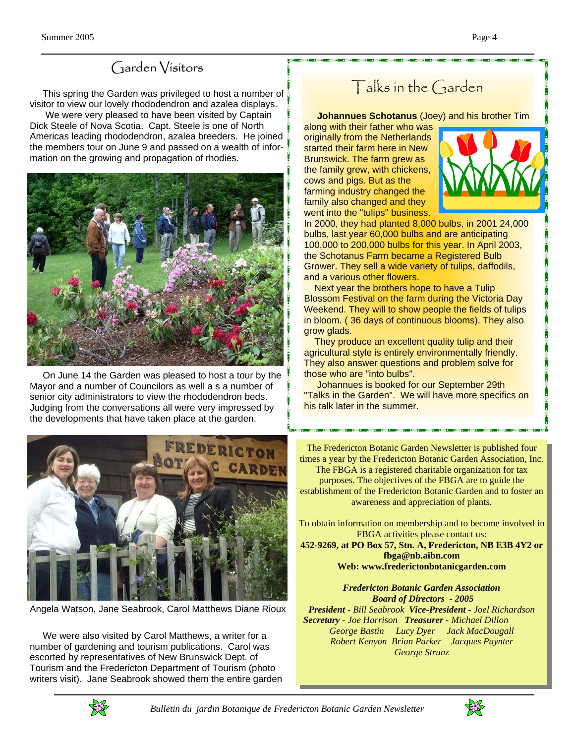#### Garden Visitors

 This spring the Garden was privileged to host a number of visitor to view our lovely rhododendron and azalea displays.

 We were very pleased to have been visited by Captain Dick Steele of Nova Scotia. Capt. Steele is one of North Americas leading rhododendron, azalea breeders. He joined the members tour on June 9 and passed on a wealth of information on the growing and propagation of rhodies.



 On June 14 the Garden was pleased to host a tour by the Mayor and a number of Councilors as well a s a number of senior city administrators to view the rhododendron beds. Judging from the conversations all were very impressed by the developments that have taken place at the garden.



Angela Watson, Jane Seabrook, Carol Matthews Diane Rioux

 We were also visited by Carol Matthews, a writer for a number of gardening and tourism publications. Carol was escorted by representatives of New Brunswick Dept. of Tourism and the Fredericton Department of Tourism (photo writers visit). Jane Seabrook showed them the entire garden

# Talks in the Garden

 **Johannues Schotanus** (Joey) and his brother Tim

along with their father who was originally from the Netherlands started their farm here in New Brunswick. The farm grew as the family grew, with chickens, cows and pigs. But as the farming industry changed the family also changed and they went into the "tulips" business.



In 2000, they had planted 8,000 bulbs, in 2001 24,000 bulbs, last year 60,000 bulbs and are anticipating 100,000 to 200,000 bulbs for this year. In April 2003, the Schotanus Farm became a Registered Bulb Grower. They sell a wide variety of tulips, daffodils, and a various other flowers.

 Next year the brothers hope to have a Tulip Blossom Festival on the farm during the Victoria Day Weekend. They will to show people the fields of tulips in bloom. ( 36 days of continuous blooms). They also grow glads.

 They produce an excellent quality tulip and their agricultural style is entirely environmentally friendly. They also answer questions and problem solve for those who are "into bulbs".

 Johannues is booked for our September 29th "Talks in the Garden". We will have more specifics on his talk later in the summer.

The Fredericton Botanic Garden Newsletter is published four times a year by the Fredericton Botanic Garden Association, Inc. The FBGA is a registered charitable organization for tax

purposes. The objectives of the FBGA are to guide the establishment of the Fredericton Botanic Garden and to foster an awareness and appreciation of plants.

To obtain information on membership and to become involved in FBGA activities please contact us:

**452-9269, at PO Box 57, Stn. A, Fredericton, NB E3B 4Y2 or fbga@nb.aibn.com Web: www.frederictonbotanicgarden.com** 

*Fredericton Botanic Garden Association Board of Directors - 2005 President - Bill Seabrook Vice-President - Joel Richardson Secretary - Joe Harrison Treasurer - Michael Dillon George Bastin Lucy Dyer Jack MacDougall Robert Kenyon Brian Parker Jacques Paynter George Strunz*